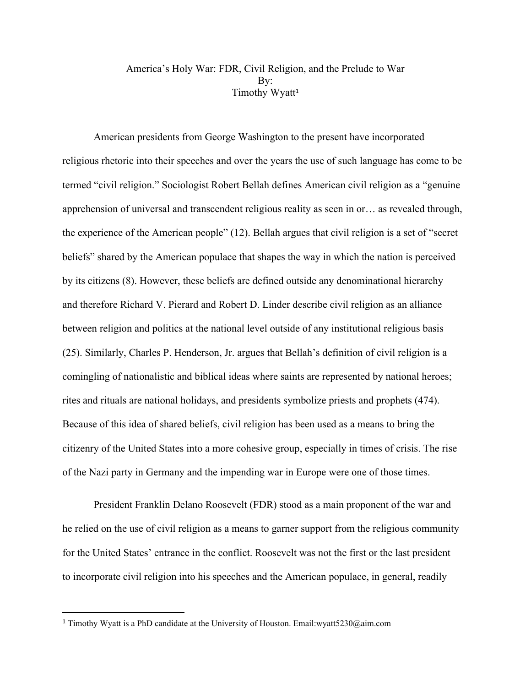## America's Holy War: FDR, Civil Religion, and the Prelude to War B<sub>v</sub>: Timothy Wyatt 1

American presidents from George Washington to the present have incorporated religious rhetoric into their speeches and over the years the use of such language has come to be termed "civil religion." Sociologist Robert Bellah defines American civil religion as a "genuine apprehension of universal and transcendent religious reality as seen in or… as revealed through, the experience of the American people" (12). Bellah argues that civil religion is a set of "secret beliefs" shared by the American populace that shapes the way in which the nation is perceived by its citizens (8). However, these beliefs are defined outside any denominational hierarchy and therefore Richard V. Pierard and Robert D. Linder describe civil religion as an alliance between religion and politics at the national level outside of any institutional religious basis (25). Similarly, Charles P. Henderson, Jr. argues that Bellah's definition of civil religion is a comingling of nationalistic and biblical ideas where saints are represented by national heroes; rites and rituals are national holidays, and presidents symbolize priests and prophets (474). Because of this idea of shared beliefs, civil religion has been used as a means to bring the citizenry of the United States into a more cohesive group, especially in times of crisis. The rise of the Nazi party in Germany and the impending war in Europe were one of those times.

President Franklin Delano Roosevelt (FDR) stood as a main proponent of the war and he relied on the use of civil religion as a means to garner support from the religious community for the United States' entrance in the conflict. Roosevelt was not the first or the last president to incorporate civil religion into his speeches and the American populace, in general, readily

<sup>1</sup> Timothy Wyatt is a PhD candidate at the University of Houston. Email:wyatt5230@aim.com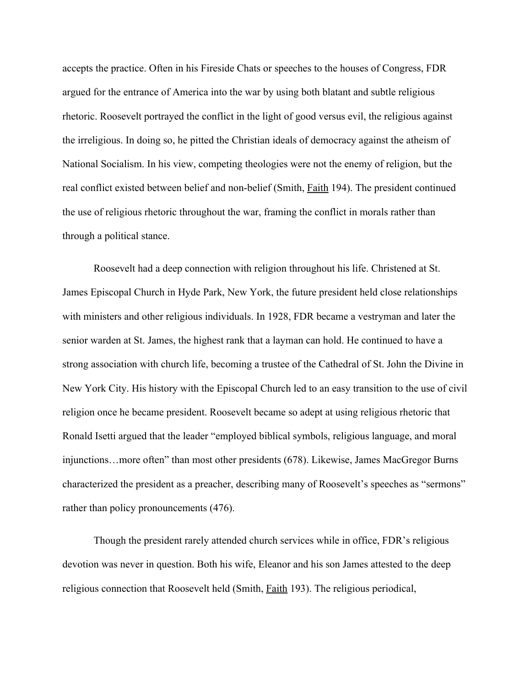accepts the practice. Often in his Fireside Chats or speeches to the houses of Congress, FDR argued for the entrance of America into the war by using both blatant and subtle religious rhetoric. Roosevelt portrayed the conflict in the light of good versus evil, the religious against the irreligious. In doing so, he pitted the Christian ideals of democracy against the atheism of National Socialism. In his view, competing theologies were not the enemy of religion, but the real conflict existed between belief and non-belief (Smith, *Faith* 194). The president continued the use of religious rhetoric throughout the war, framing the conflict in morals rather than through a political stance.

Roosevelt had a deep connection with religion throughout his life. Christened at St. James Episcopal Church in Hyde Park, New York, the future president held close relationships with ministers and other religious individuals. In 1928, FDR became a vestryman and later the senior warden at St. James, the highest rank that a layman can hold. He continued to have a strong association with church life, becoming a trustee of the Cathedral of St. John the Divine in New York City. His history with the Episcopal Church led to an easy transition to the use of civil religion once he became president. Roosevelt became so adept at using religious rhetoric that Ronald Isetti argued that the leader "employed biblical symbols, religious language, and moral injunctions…more often" than most other presidents (678). Likewise, James MacGregor Burns characterized the president as a preacher, describing many of Roosevelt's speeches as "sermons" rather than policy pronouncements (476).

Though the president rarely attended church services while in office, FDR's religious devotion was never in question. Both his wife, Eleanor and his son James attested to the deep religious connection that Roosevelt held (Smith, Faith 193). The religious periodical,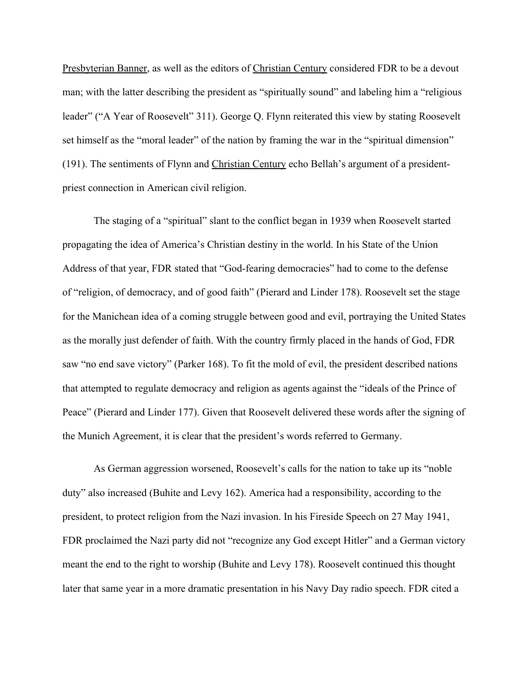Presbyterian Banner, as well as the editors of Christian Century considered FDR to be a devout man; with the latter describing the president as "spiritually sound" and labeling him a "religious leader" ("A Year of Roosevelt" 311). George Q. Flynn reiterated this view by stating Roosevelt set himself as the "moral leader" of the nation by framing the war in the "spiritual dimension" (191). The sentiments of Flynn and Christian Century echo Bellah's argument of a presidentpriest connection in American civil religion.

The staging of a "spiritual" slant to the conflict began in 1939 when Roosevelt started propagating the idea of America's Christian destiny in the world. In his State of the Union Address of that year, FDR stated that "God-fearing democracies" had to come to the defense of "religion, of democracy, and of good faith" (Pierard and Linder 178). Roosevelt set the stage for the Manichean idea of a coming struggle between good and evil, portraying the United States as the morally just defender of faith. With the country firmly placed in the hands of God, FDR saw "no end save victory" (Parker 168). To fit the mold of evil, the president described nations that attempted to regulate democracy and religion as agents against the "ideals of the Prince of Peace" (Pierard and Linder 177). Given that Roosevelt delivered these words after the signing of the Munich Agreement, it is clear that the president's words referred to Germany.

As German aggression worsened, Roosevelt's calls for the nation to take up its "noble duty" also increased (Buhite and Levy 162). America had a responsibility, according to the president, to protect religion from the Nazi invasion. In his Fireside Speech on 27 May 1941, FDR proclaimed the Nazi party did not "recognize any God except Hitler" and a German victory meant the end to the right to worship (Buhite and Levy 178). Roosevelt continued this thought later that same year in a more dramatic presentation in his Navy Day radio speech. FDR cited a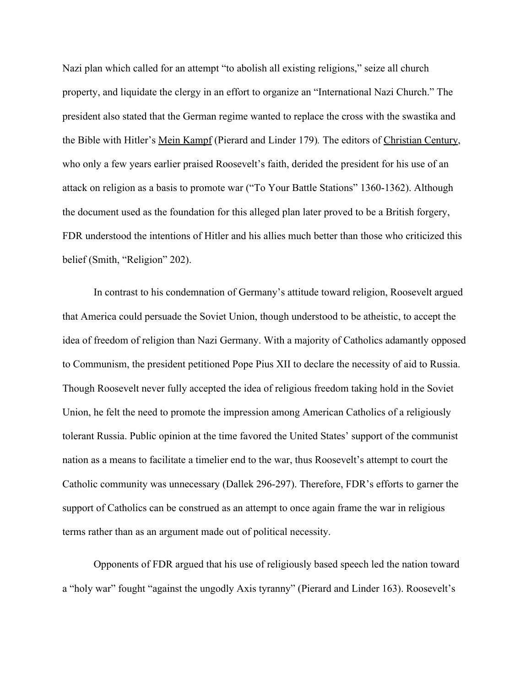Nazi plan which called for an attempt "to abolish all existing religions," seize all church property, and liquidate the clergy in an effort to organize an "International Nazi Church." The president also stated that the German regime wanted to replace the cross with the swastika and the Bible with Hitler's Mein Kampf (Pierard and Linder 179)*.* The editors of Christian Century, who only a few years earlier praised Roosevelt's faith, derided the president for his use of an attack on religion as a basis to promote war ("To Your Battle Stations" 1360-1362). Although the document used as the foundation for this alleged plan later proved to be a British forgery, FDR understood the intentions of Hitler and his allies much better than those who criticized this belief (Smith, "Religion" 202).

In contrast to his condemnation of Germany's attitude toward religion, Roosevelt argued that America could persuade the Soviet Union, though understood to be atheistic, to accept the idea of freedom of religion than Nazi Germany. With a majority of Catholics adamantly opposed to Communism, the president petitioned Pope Pius XII to declare the necessity of aid to Russia. Though Roosevelt never fully accepted the idea of religious freedom taking hold in the Soviet Union, he felt the need to promote the impression among American Catholics of a religiously tolerant Russia. Public opinion at the time favored the United States' support of the communist nation as a means to facilitate a timelier end to the war, thus Roosevelt's attempt to court the Catholic community was unnecessary (Dallek 296-297). Therefore, FDR's efforts to garner the support of Catholics can be construed as an attempt to once again frame the war in religious terms rather than as an argument made out of political necessity.

Opponents of FDR argued that his use of religiously based speech led the nation toward a "holy war" fought "against the ungodly Axis tyranny" (Pierard and Linder 163). Roosevelt's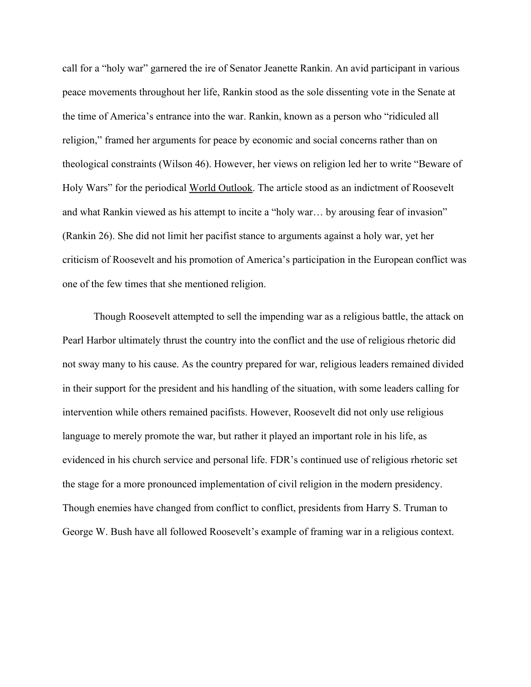call for a "holy war" garnered the ire of Senator Jeanette Rankin. An avid participant in various peace movements throughout her life, Rankin stood as the sole dissenting vote in the Senate at the time of America's entrance into the war. Rankin, known as a person who "ridiculed all religion," framed her arguments for peace by economic and social concerns rather than on theological constraints (Wilson 46). However, her views on religion led her to write "Beware of Holy Wars" for the periodical World Outlook. The article stood as an indictment of Roosevelt and what Rankin viewed as his attempt to incite a "holy war… by arousing fear of invasion" (Rankin 26). She did not limit her pacifist stance to arguments against a holy war, yet her criticism of Roosevelt and his promotion of America's participation in the European conflict was one of the few times that she mentioned religion.

Though Roosevelt attempted to sell the impending war as a religious battle, the attack on Pearl Harbor ultimately thrust the country into the conflict and the use of religious rhetoric did not sway many to his cause. As the country prepared for war, religious leaders remained divided in their support for the president and his handling of the situation, with some leaders calling for intervention while others remained pacifists. However, Roosevelt did not only use religious language to merely promote the war, but rather it played an important role in his life, as evidenced in his church service and personal life. FDR's continued use of religious rhetoric set the stage for a more pronounced implementation of civil religion in the modern presidency. Though enemies have changed from conflict to conflict, presidents from Harry S. Truman to George W. Bush have all followed Roosevelt's example of framing war in a religious context.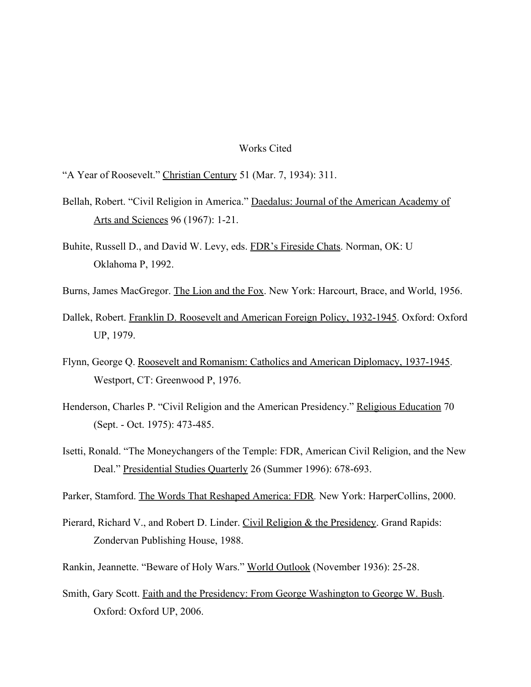## Works Cited

"A Year of Roosevelt." Christian Century 51 (Mar. 7, 1934): 311.

- Bellah, Robert. "Civil Religion in America." Daedalus: Journal of the American Academy of Arts and Sciences 96 (1967): 1-21.
- Buhite, Russell D., and David W. Levy, eds. FDR's Fireside Chats. Norman, OK: U Oklahoma P, 1992.
- Burns, James MacGregor. The Lion and the Fox. New York: Harcourt, Brace, and World, 1956.
- Dallek, Robert. Franklin D. Roosevelt and American Foreign Policy, 1932-1945. Oxford: Oxford UP, 1979.
- Flynn, George Q. Roosevelt and Romanism: Catholics and American Diplomacy, 1937-1945. Westport, CT: Greenwood P, 1976.
- Henderson, Charles P. "Civil Religion and the American Presidency." Religious Education 70 (Sept. - Oct. 1975): 473-485.
- Isetti, Ronald. "The Moneychangers of the Temple: FDR, American Civil Religion, and the New Deal." Presidential Studies Quarterly 26 (Summer 1996): 678-693.

Parker, Stamford. The Words That Reshaped America: FDR*.* New York: HarperCollins, 2000.

- Pierard, Richard V., and Robert D. Linder. Civil Religion & the Presidency. Grand Rapids: Zondervan Publishing House, 1988.
- Rankin, Jeannette. "Beware of Holy Wars." World Outlook (November 1936): 25-28.
- Smith, Gary Scott. Faith and the Presidency: From George Washington to George W. Bush. Oxford: Oxford UP, 2006.